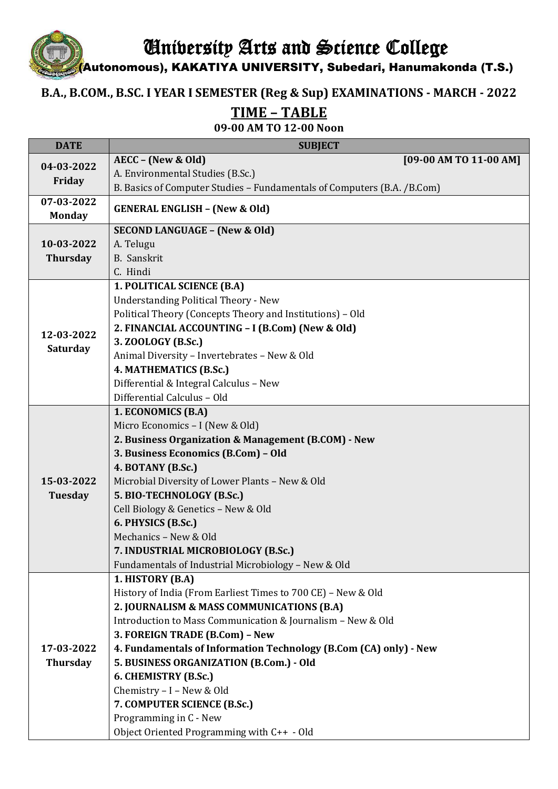University Arts and Science College

(Autonomous), KAKATIYA UNIVERSITY, Subedari, Hanumakonda (T.S.)

## **B.A., B.COM., B.SC. I YEAR I SEMESTER (Reg & Sup) EXAMINATIONS - MARCH - 2022**

**TIME – TABLE**

**09-00 AM TO 12-00 Noon**

| <b>DATE</b>                   | <b>SUBJECT</b>                                                          |
|-------------------------------|-------------------------------------------------------------------------|
| 04-03-2022<br>Friday          | AECC - (New & Old)<br>[09-00 AM TO 11-00 AM]                            |
|                               | A. Environmental Studies (B.Sc.)                                        |
|                               | B. Basics of Computer Studies - Fundamentals of Computers (B.A. /B.Com) |
| 07-03-2022<br><b>Monday</b>   | <b>GENERAL ENGLISH - (New &amp; Old)</b>                                |
|                               | <b>SECOND LANGUAGE - (New &amp; Old)</b>                                |
| 10-03-2022                    | A. Telugu                                                               |
| <b>Thursday</b>               | <b>B.</b> Sanskrit                                                      |
|                               | C. Hindi                                                                |
| 12-03-2022<br><b>Saturday</b> | 1. POLITICAL SCIENCE (B.A)                                              |
|                               | <b>Understanding Political Theory - New</b>                             |
|                               | Political Theory (Concepts Theory and Institutions) - Old               |
|                               | 2. FINANCIAL ACCOUNTING - I (B.Com) (New & Old)                         |
|                               | 3. ZOOLOGY (B.Sc.)                                                      |
|                               | Animal Diversity - Invertebrates - New & Old                            |
|                               | 4. MATHEMATICS (B.Sc.)                                                  |
|                               | Differential & Integral Calculus - New                                  |
|                               | Differential Calculus - Old                                             |
| 15-03-2022<br><b>Tuesday</b>  | 1. ECONOMICS (B.A)                                                      |
|                               | Micro Economics - I (New & Old)                                         |
|                               | 2. Business Organization & Management (B.COM) - New                     |
|                               | 3. Business Economics (B.Com) - Old                                     |
|                               | 4. BOTANY (B.Sc.)                                                       |
|                               | Microbial Diversity of Lower Plants - New & Old                         |
|                               | 5. BIO-TECHNOLOGY (B.Sc.)                                               |
|                               | Cell Biology & Genetics - New & Old                                     |
|                               | 6. PHYSICS (B.Sc.)                                                      |
|                               | Mechanics - New & Old                                                   |
|                               | 7. INDUSTRIAL MICROBIOLOGY (B.Sc.)                                      |
|                               | Fundamentals of Industrial Microbiology - New & Old                     |
|                               | 1. HISTORY (B.A)                                                        |
|                               | History of India (From Earliest Times to 700 CE) - New & Old            |
|                               | 2. JOURNALISM & MASS COMMUNICATIONS (B.A)                               |
|                               | Introduction to Mass Communication & Journalism - New & Old             |
|                               | 3. FOREIGN TRADE (B.Com) - New                                          |
| 17-03-2022                    | 4. Fundamentals of Information Technology (B.Com (CA) only) - New       |
| <b>Thursday</b>               | 5. BUSINESS ORGANIZATION (B.Com.) - Old                                 |
|                               | 6. CHEMISTRY (B.Sc.)                                                    |
|                               | Chemistry - I - New & Old                                               |
|                               | 7. COMPUTER SCIENCE (B.Sc.)                                             |
|                               | Programming in C - New                                                  |
|                               | Object Oriented Programming with C++ - Old                              |